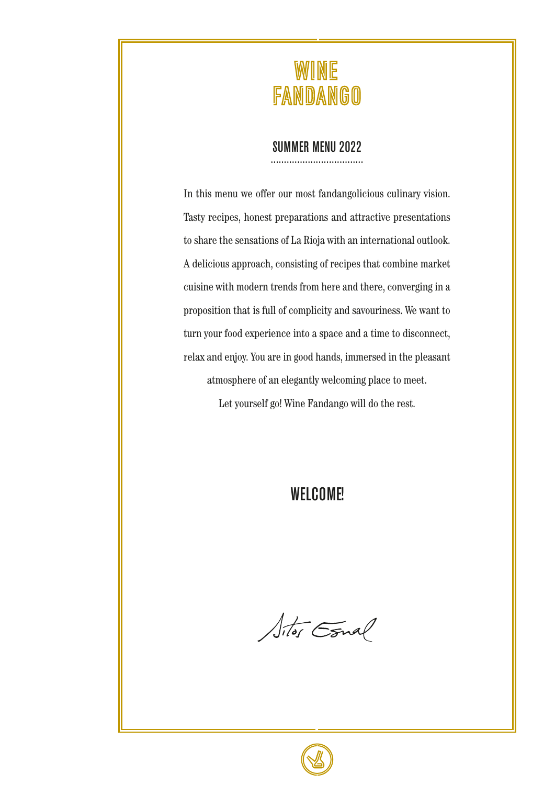

#### SUMMER MENU 2022

...................................

In this menu we offer our most fandangolicious culinary vision. Tasty recipes, honest preparations and attractive presentations to share the sensations of La Rioja with an international outlook. A delicious approach, consisting of recipes that combine market cuisine with modern trends from here and there, converging in a proposition that is full of complicity and savouriness. We want to turn your food experience into a space and a time to disconnect, relax and enjoy. You are in good hands, immersed in the pleasant atmosphere of an elegantly welcoming place to meet.

Let yourself go! Wine Fandango will do the rest.

#### WELCOME!

Sitos Esnal

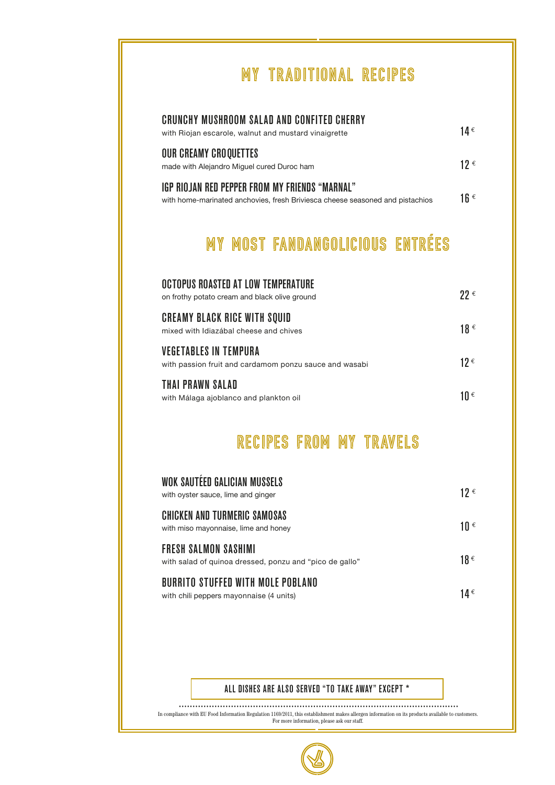## MY TRADITIONAL RECIPES

| CRUNCHY MUSHROOM SALAD AND CONFITED CHERRY<br>with Riojan escarole, walnut and mustard vinaigrette                              | 14 € |
|---------------------------------------------------------------------------------------------------------------------------------|------|
| <b>OUR CREAMY CROOUETTES</b><br>made with Alejandro Miquel cured Duroc ham                                                      | 12 € |
| IGP RIOJAN RED PEPPER FROM MY FRIENDS "MARNAL"<br>with home-marinated anchovies, fresh Briviesca cheese seasoned and pistachios | 1ն € |
|                                                                                                                                 |      |

# MY MOST FANDANGOLICIOUS ENTRÉES

| OCTOPUS ROASTED AT LOW TEMPERATURE<br>on frothy potato cream and black olive ground    | 22 € |
|----------------------------------------------------------------------------------------|------|
| <b>CREAMY BLACK RICE WITH SOUID</b><br>mixed with Idiazábal cheese and chives          | 18 € |
| <b>VEGETABLES IN TEMPURA</b><br>with passion fruit and cardamom ponzu sauce and wasabi | 12 € |
| THAI PRAWN SALAD<br>with Málaga ajoblanco and plankton oil                             | 1Ո € |

#### RECIPES FROM MY TRAVELS

| WOK SAUTEED GALICIAN MUSSELS<br>with oyster sauce, lime and ginger                     | 12 € |
|----------------------------------------------------------------------------------------|------|
| <b>CHICKEN AND TURMERIC SAMOSAS</b><br>with miso mayonnaise, lime and honey            | 10 € |
| <b>FRESH SALMON SASHIMI</b><br>with salad of quinoa dressed, ponzu and "pico de gallo" | 18€  |
| BURRITO STUFFED WITH MOLE POBLANO<br>with chili peppers mayonnaise (4 units)           | 14 € |

#### ALL DISHES ARE ALSO SERVED "TO TAKE AWAY" EXCEPT \*

In compliance with EU Food Information Regulation 1169/2011, this establishment makes allergen information on its products available to customers. For more information, please ask our staff. ......................................................................................................

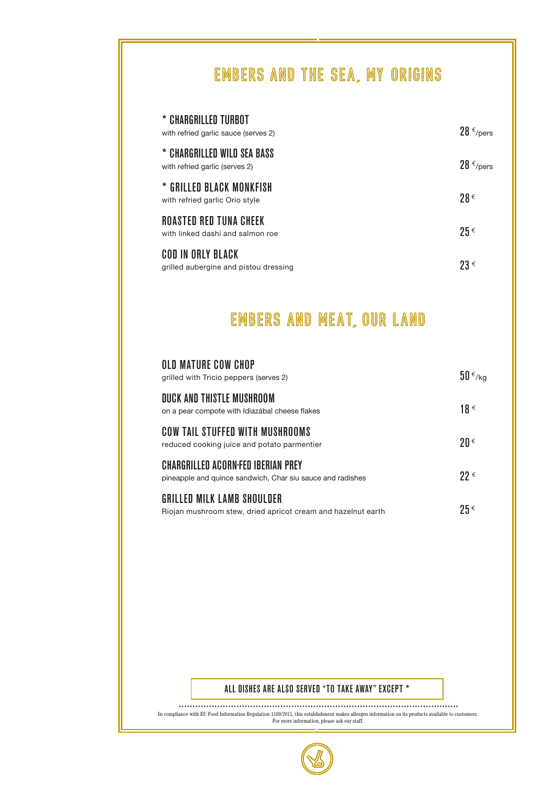## EMBERS AND THE SEA, MY ORIGINS

| * CHARGRILLED TURBOT<br>with refried garlic sauce (serves 2)      | $28 \epsilon$ /pers |
|-------------------------------------------------------------------|---------------------|
| * CHARGRILLED WILD SEA BASS<br>with refried garlic (serves 2)     | $28 \epsilon$ /pers |
| * GRILLED BLACK MONKFISH<br>with refried garlic Orio style        | $98 \in$            |
| <b>ROASTED RED TUNA CHEEK</b><br>with linked dashi and salmon roe | $25 \epsilon$       |
| COD IN ORLY BLACK<br>grilled aubergine and pistou dressing        | $23 \in$            |

### EMBERS AND MEAT, OUR LAND

| OLD MATURE COW CHOP<br>grilled with Tricio peppers (serves 2)                                    | $50 \frac{\epsilon}{kg}$ |
|--------------------------------------------------------------------------------------------------|--------------------------|
| DUCK AND THISTLE MUSHROOM<br>on a pear compote with Idiazábal cheese flakes                      | 18€                      |
| COW TAIL STUFFED WITH MUSHROOMS<br>reduced cooking juice and potato parmentier                   | $20 \in$                 |
| CHARGRILLED ACORN-FED IBERIAN PREY<br>pineapple and quince sandwich, Char siu sauce and radishes | $22 \in$                 |
| GRILLED MILK LAMB SHOULDER<br>Riojan mushroom stew, dried apricot cream and hazelnut earth       | $25 \epsilon$            |

#### ALL DISHES ARE ALSO SERVED "TO TAKE AWAY" EXCEPT \*

In compliance with EU Food Information Regulation 1169/2011, this establishment makes allergen information on its products available to customers. For more information, please ask our staff. ......................................................................................................

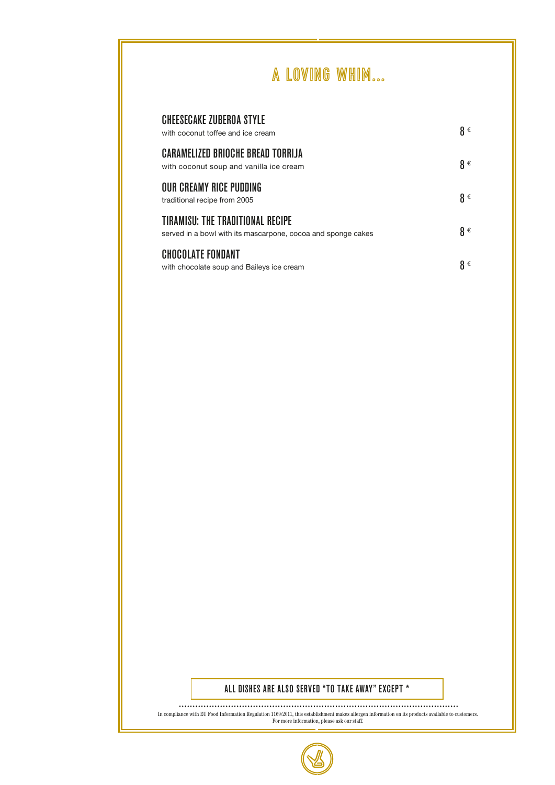### A LOVING WHIM...

| <b>CHEESECAKE ZUBEROA STYLE</b><br>with coconut toffee and ice cream                             | $\mathbf{g} \in$ |
|--------------------------------------------------------------------------------------------------|------------------|
| <b>CARAMELIZED BRIOCHE BREAD TORRIJA</b><br>with coconut soup and vanilla ice cream              | $\beta \in$      |
| OUR CREAMY RICE PUDDING<br>traditional recipe from 2005                                          | $\mathbf{g} \in$ |
| TIRAMISU: THE TRADITIONAL RECIPE<br>served in a bowl with its mascarpone, cocoa and sponge cakes | $\beta \in$      |
| <b>CHOCOLATE FONDANT</b><br>with chocolate soup and Baileys ice cream                            | $\mathbf{g} \in$ |

#### ALL DISHES ARE ALSO SERVED "TO TAKE AWAY" EXCEPT \*

In compliance with EU Food Information Regulation 1169/2011, this establishment makes allergen information on its products available to customers. For more information, please ask our staff. ......................................................................................................